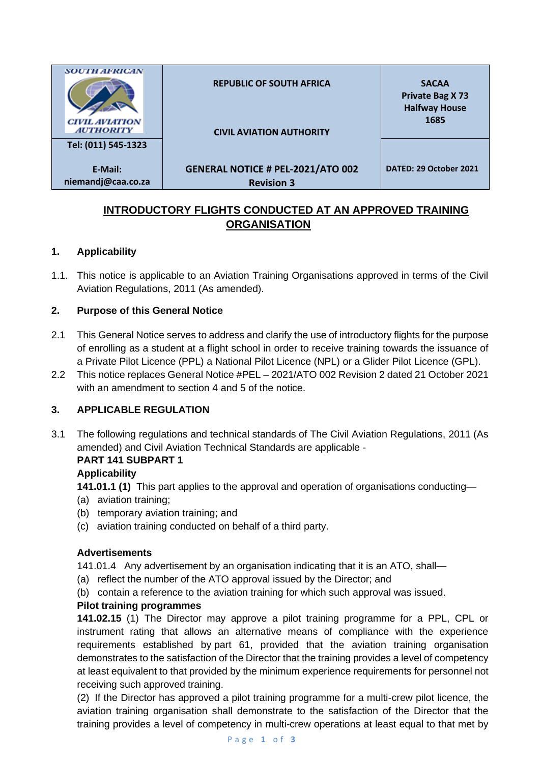| <b>SOUTH AFRICAN</b><br><b>CIVIL AVIATION</b><br><b>AUTHORITY</b> | <b>REPUBLIC OF SOUTH AFRICA</b><br><b>CIVIL AVIATION AUTHORITY</b> | <b>SACAA</b><br><b>Private Bag X73</b><br><b>Halfway House</b><br>1685 |
|-------------------------------------------------------------------|--------------------------------------------------------------------|------------------------------------------------------------------------|
| Tel: (011) 545-1323                                               |                                                                    |                                                                        |
| E-Mail:<br>niemandj@caa.co.za                                     | <b>GENERAL NOTICE # PEL-2021/ATO 002</b><br><b>Revision 3</b>      | DATED: 29 October 2021                                                 |

# **INTRODUCTORY FLIGHTS CONDUCTED AT AN APPROVED TRAINING ORGANISATION**

### **1. Applicability**

1.1. This notice is applicable to an Aviation Training Organisations approved in terms of the Civil Aviation Regulations, 2011 (As amended).

### **2. Purpose of this General Notice**

- 2.1 This General Notice serves to address and clarify the use of introductory flights for the purpose of enrolling as a student at a flight school in order to receive training towards the issuance of a Private Pilot Licence (PPL) a National Pilot Licence (NPL) or a Glider Pilot Licence (GPL).
- 2.2 This notice replaces General Notice #PEL 2021/ATO 002 Revision 2 dated 21 October 2021 with an amendment to section 4 and 5 of the notice.

### **3. APPLICABLE REGULATION**

3.1 The following regulations and technical standards of The Civil Aviation Regulations, 2011 (As amended) and Civil Aviation Technical Standards are applicable -

### **PART 141 SUBPART 1**

### **Applicability**

- **141.01.1 (1)** This part applies to the approval and operation of organisations conducting—
- (a) aviation training;
- (b) temporary aviation training; and
- (c) aviation training conducted on behalf of a third party.

#### **Advertisements**

141.01.4 Any advertisement by an organisation indicating that it is an ATO, shall—

- (a) reflect the number of the ATO approval issued by the Director; and
- (b) contain a reference to the aviation training for which such approval was issued.

#### **Pilot training programmes**

**141.02.15** (1) The Director may approve a pilot training programme for a PPL, CPL or instrument rating that allows an alternative means of compliance with the experience requirements established by part 61, provided that the aviation training organisation demonstrates to the satisfaction of the Director that the training provides a level of competency at least equivalent to that provided by the minimum experience requirements for personnel not receiving such approved training.

(2) If the Director has approved a pilot training programme for a multi-crew pilot licence, the aviation training organisation shall demonstrate to the satisfaction of the Director that the training provides a level of competency in multi-crew operations at least equal to that met by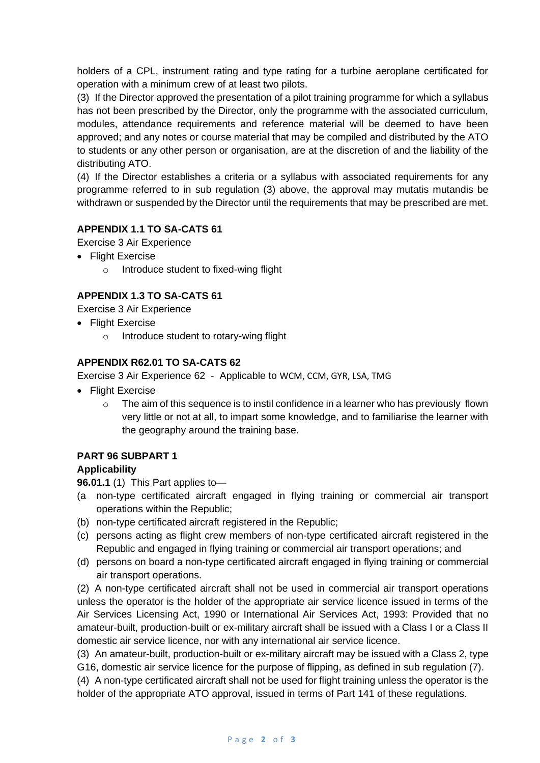holders of a CPL, instrument rating and type rating for a turbine aeroplane certificated for operation with a minimum crew of at least two pilots.

(3) If the Director approved the presentation of a pilot training programme for which a syllabus has not been prescribed by the Director, only the programme with the associated curriculum, modules, attendance requirements and reference material will be deemed to have been approved; and any notes or course material that may be compiled and distributed by the ATO to students or any other person or organisation, are at the discretion of and the liability of the distributing ATO.

(4) If the Director establishes a criteria or a syllabus with associated requirements for any programme referred to in sub regulation (3) above, the approval may mutatis mutandis be withdrawn or suspended by the Director until the requirements that may be prescribed are met.

### **APPENDIX 1.1 TO SA-CATS 61**

Exercise 3 Air Experience

- Flight Exercise
	- Introduce student to fixed-wing flight

# **APPENDIX 1.3 TO SA-CATS 61**

Exercise 3 Air Experience

- Flight Exercise
	- o Introduce student to rotary-wing flight

#### **APPENDIX R62.01 TO SA-CATS 62**

Exercise 3 Air Experience 62 - Applicable to WCM, CCM, GYR, LSA, TMG

- Flight Exercise
	- $\circ$  The aim of this sequence is to instil confidence in a learner who has previously flown very little or not at all, to impart some knowledge, and to familiarise the learner with the geography around the training base.

### **PART 96 SUBPART 1**

#### **Applicability**

**96.01.1** (1) This Part applies to—

- (a non-type certificated aircraft engaged in flying training or commercial air transport operations within the Republic;
- (b) non-type certificated aircraft registered in the Republic;
- (c) persons acting as flight crew members of non-type certificated aircraft registered in the Republic and engaged in flying training or commercial air transport operations; and
- (d) persons on board a non-type certificated aircraft engaged in flying training or commercial air transport operations.

(2) A non-type certificated aircraft shall not be used in commercial air transport operations unless the operator is the holder of the appropriate air service licence issued in terms of the Air Services Licensing Act, 1990 or International Air Services Act, 1993: Provided that no amateur-built, production-built or ex-military aircraft shall be issued with a Class I or a Class II domestic air service licence, nor with any international air service licence.

(3) An amateur-built, production-built or ex-military aircraft may be issued with a Class 2, type G16, domestic air service licence for the purpose of flipping, as defined in sub regulation (7).

(4) A non-type certificated aircraft shall not be used for flight training unless the operator is the holder of the appropriate ATO approval, issued in terms of Part 141 of these regulations.